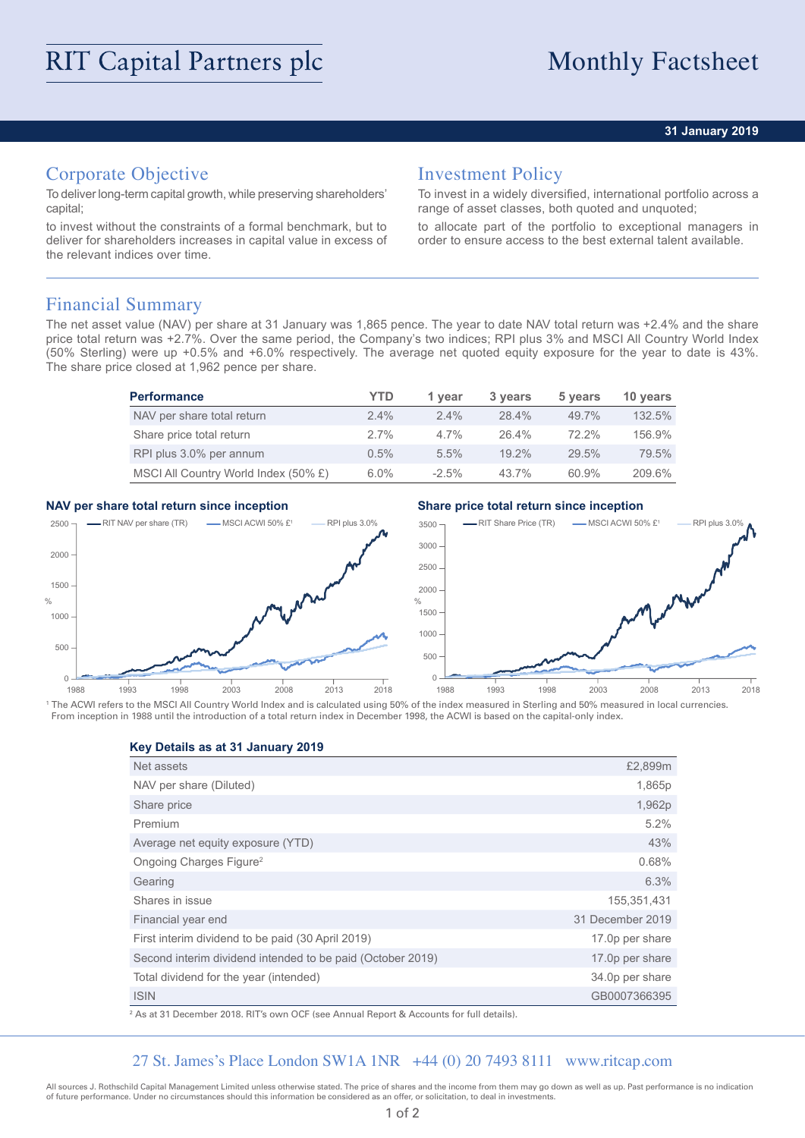### **31 January 2019**

# Corporate Objective

To deliver long-term capital growth, while preserving shareholders' capital;

to invest without the constraints of a formal benchmark, but to deliver for shareholders increases in capital value in excess of the relevant indices over time.

## Investment Policy

To invest in a widely diversified, international portfolio across a range of asset classes, both quoted and unquoted;

to allocate part of the portfolio to exceptional managers in order to ensure access to the best external talent available.

## Financial Summary

The net asset value (NAV) per share at 31 January was 1,865 pence. The year to date NAV total return was +2.4% and the share price total return was +2.7%. Over the same period, the Company's two indices; RPI plus 3% and MSCI All Country World Index (50% Sterling) were up +0.5% and +6.0% respectively. The average net quoted equity exposure for the year to date is 43%. The share price closed at 1,962 pence per share.

| <b>Performance</b>                   | YTD     | 1 year  | 3 years  | 5 years  | 10 years |
|--------------------------------------|---------|---------|----------|----------|----------|
| NAV per share total return           | $2.4\%$ | $2.4\%$ | $28.4\%$ | 49.7%    | 132.5%   |
| Share price total return             | $2.7\%$ | $4.7\%$ | 26.4%    | $72.2\%$ | 156.9%   |
| RPI plus 3.0% per annum              | $0.5\%$ | 5.5%    | $19.2\%$ | 29.5%    | 79.5%    |
| MSCI All Country World Index (50% £) | $6.0\%$ | $-2.5%$ | 43.7%    | 60.9%    | 209.6%   |

### **NAV per share total return since inception Share price total return since inception**



<sup>1</sup> The ACWI refers to the MSCI All Country World Index and is calculated using 50% of the index measured in Sterling and 50% measured in local currencies. From inception in 1988 until the introduction of a total return index in December 1998, the ACWI is based on the capital-only index.

**Key Details as at 31 January 2019**

| Net assets                                                 | £2,899m          |
|------------------------------------------------------------|------------------|
| NAV per share (Diluted)                                    | 1,865p           |
| Share price                                                | 1,962p           |
| Premium                                                    | $5.2\%$          |
| Average net equity exposure (YTD)                          | 43%              |
| Ongoing Charges Figure <sup>2</sup>                        | 0.68%            |
| Gearing                                                    | 6.3%             |
| Shares in issue                                            | 155,351,431      |
| Financial year end                                         | 31 December 2019 |
| First interim dividend to be paid (30 April 2019)          | 17.0p per share  |
| Second interim dividend intended to be paid (October 2019) | 17.0p per share  |
| Total dividend for the year (intended)                     | 34.0p per share  |
| <b>ISIN</b>                                                | GB0007366395     |

2 As at 31 December 2018. RIT's own OCF (see Annual Report & Accounts for full details).

## 27 St. James's Place London SW1A 1NR +44 (0) 20 7493 8111 www.ritcap.com

All sources J. Rothschild Capital Management Limited unless otherwise stated. The price of shares and the income from them may go down as well as up. Past performance is no indication of future performance. Under no circumstances should this information be considered as an offer, or solicitation, to deal in investments.